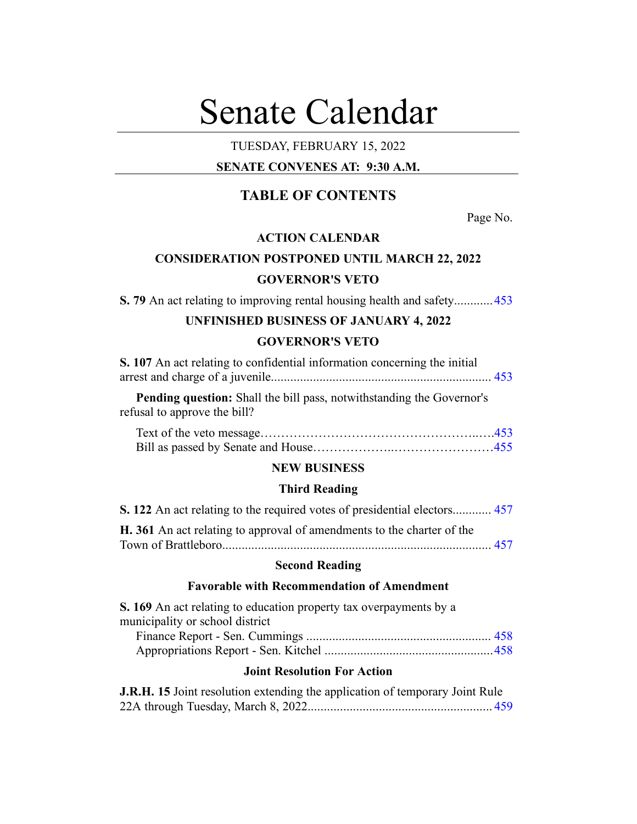# Senate Calendar

# TUESDAY, FEBRUARY 15, 2022

# **SENATE CONVENES AT: 9:30 A.M.**

# **TABLE OF CONTENTS**

Page No.

# **ACTION CALENDAR**

# **CONSIDERATION POSTPONED UNTIL MARCH 22, 2022 GOVERNOR'S VETO**

**S. 79** An act relating to improving rental housing health and safety............[453](#page-2-0)

# **UNFINISHED BUSINESS OF JANUARY 4, 2022 GOVERNOR'S VETO**

| S. 107 An act relating to confidential information concerning the initial    |  |
|------------------------------------------------------------------------------|--|
|                                                                              |  |
| <b>Pending question:</b> Shall the bill pass, notwithstanding the Governor's |  |

refusal to approve the bill?

## **NEW BUSINESS**

# **Third Reading**

| <b>S. 122</b> An act relating to the required votes of presidential electors 457 |  |
|----------------------------------------------------------------------------------|--|
| H. 361 An act relating to approval of amendments to the charter of the           |  |
|                                                                                  |  |

# **Second Reading**

# **Favorable with Recommendation of Amendment**

| S. 169 An act relating to education property tax overpayments by a |  |
|--------------------------------------------------------------------|--|
| municipality or school district                                    |  |
|                                                                    |  |
|                                                                    |  |

# Appropriations Report - Sen. Kitchel ....................................................[458](#page-7-1)

# **Joint Resolution For Action**

| <b>J.R.H. 15</b> Joint resolution extending the application of temporary Joint Rule |  |
|-------------------------------------------------------------------------------------|--|
|                                                                                     |  |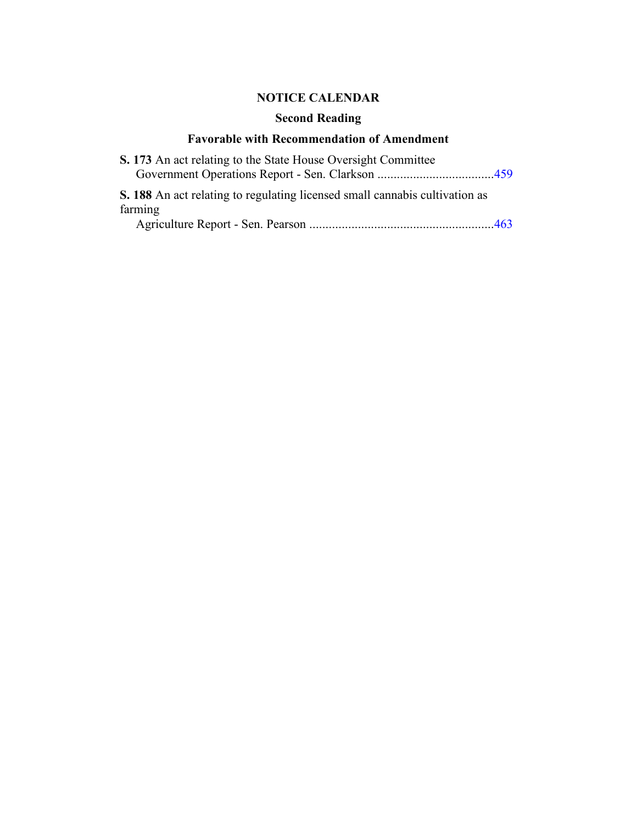# **NOTICE CALENDAR**

# **Second Reading**

# **Favorable with Recommendation of Amendment**

| S. 173 An act relating to the State House Oversight Committee                      |  |
|------------------------------------------------------------------------------------|--|
|                                                                                    |  |
| <b>S. 188</b> An act relating to regulating licensed small cannabis cultivation as |  |
| farming                                                                            |  |
|                                                                                    |  |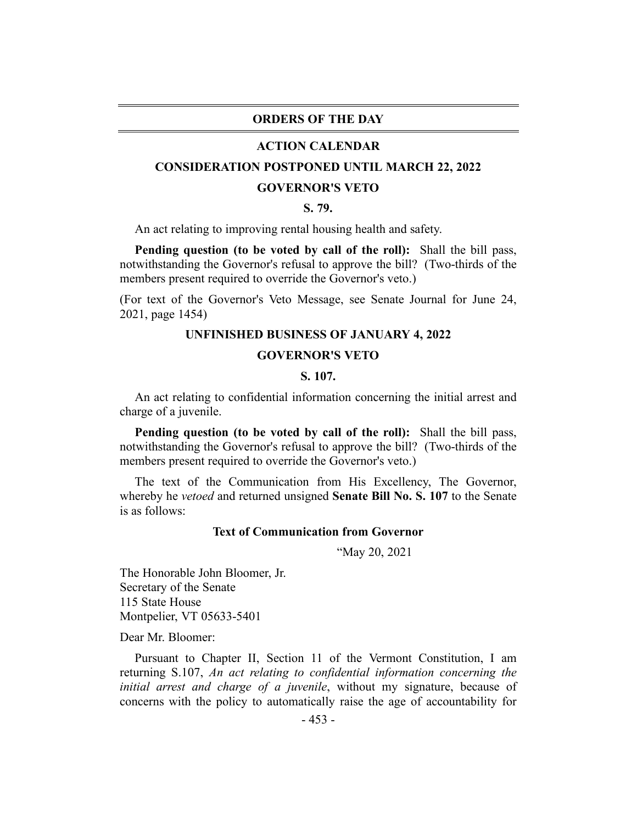#### **ORDERS OF THE DAY**

#### **ACTION CALENDAR**

## <span id="page-2-0"></span>**CONSIDERATION POSTPONED UNTIL MARCH 22, 2022**

#### **GOVERNOR'S VETO**

# **S. 79.**

An act relating to improving rental housing health and safety.

**Pending question (to be voted by call of the roll):** Shall the bill pass, notwithstanding the Governor's refusal to approve the bill? (Two-thirds of the members present required to override the Governor's veto.)

<span id="page-2-1"></span>(For text of the Governor's Veto Message, see Senate Journal for June 24, 2021, page 1454)

# **UNFINISHED BUSINESS OF JANUARY 4, 2022**

#### **GOVERNOR'S VETO**

#### **S. 107.**

An act relating to confidential information concerning the initial arrest and charge of a juvenile.

**Pending question (to be voted by call of the roll):** Shall the bill pass, notwithstanding the Governor's refusal to approve the bill? (Two-thirds of the members present required to override the Governor's veto.)

The text of the Communication from His Excellency, The Governor, whereby he *vetoed* and returned unsigned **Senate Bill No. S. 107** to the Senate is as follows:

#### **Text of Communication from Governor**

"May 20, 2021

The Honorable John Bloomer, Jr. Secretary of the Senate 115 State House Montpelier, VT 05633-5401

Dear Mr. Bloomer:

Pursuant to Chapter II, Section 11 of the Vermont Constitution, I am returning S.107, *An act relating to confidential information concerning the initial arrest and charge of a juvenile*, without my signature, because of concerns with the policy to automatically raise the age of accountability for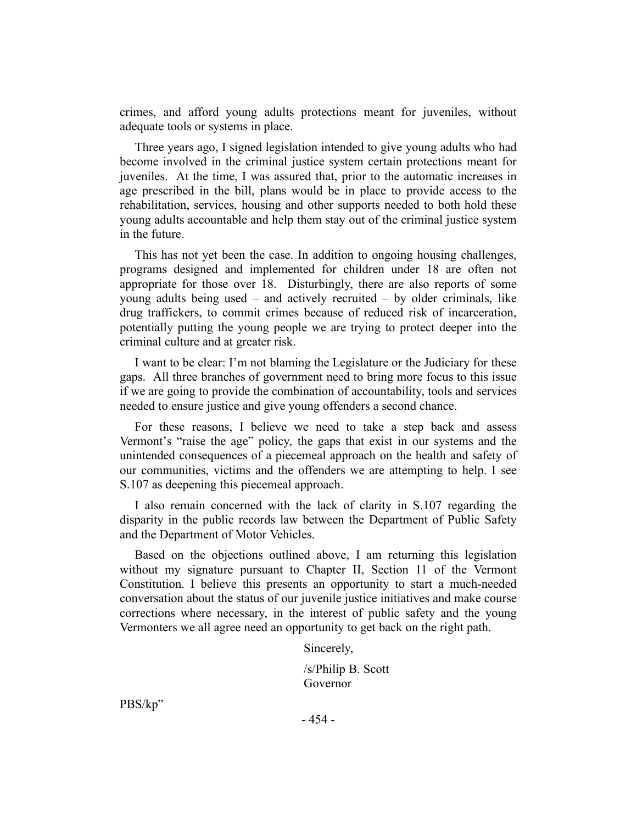crimes, and afford young adults protections meant for juveniles, without adequate tools or systems in place.

Three years ago, I signed legislation intended to give young adults who had become involved in the criminal justice system certain protections meant for juveniles. At the time, I was assured that, prior to the automatic increases in age prescribed in the bill, plans would be in place to provide access to the rehabilitation, services, housing and other supports needed to both hold these young adults accountable and help them stay out of the criminal justice system in the future.

This has not yet been the case. In addition to ongoing housing challenges, programs designed and implemented for children under 18 are often not appropriate for those over 18. Disturbingly, there are also reports of some young adults being used – and actively recruited – by older criminals, like drug traffickers, to commit crimes because of reduced risk of incarceration, potentially putting the young people we are trying to protect deeper into the criminal culture and at greater risk.

I want to be clear: I'm not blaming the Legislature or the Judiciary for these gaps. All three branches of government need to bring more focus to this issue if we are going to provide the combination of accountability, tools and services needed to ensure justice and give young offenders a second chance.

For these reasons, I believe we need to take a step back and assess Vermont's "raise the age" policy, the gaps that exist in our systems and the unintended consequences of a piecemeal approach on the health and safety of our communities, victims and the offenders we are attempting to help. I see S.107 as deepening this piecemeal approach.

I also remain concerned with the lack of clarity in S.107 regarding the disparity in the public records law between the Department of Public Safety and the Department of Motor Vehicles.

Based on the objections outlined above, I am returning this legislation without my signature pursuant to Chapter II, Section 11 of the Vermont Constitution. I believe this presents an opportunity to start a much-needed conversation about the status of our juvenile justice initiatives and make course corrections where necessary, in the interest of public safety and the young Vermonters we all agree need an opportunity to get back on the right path.

Sincerely,

/s/Philip B. Scott Governor

PBS/kp"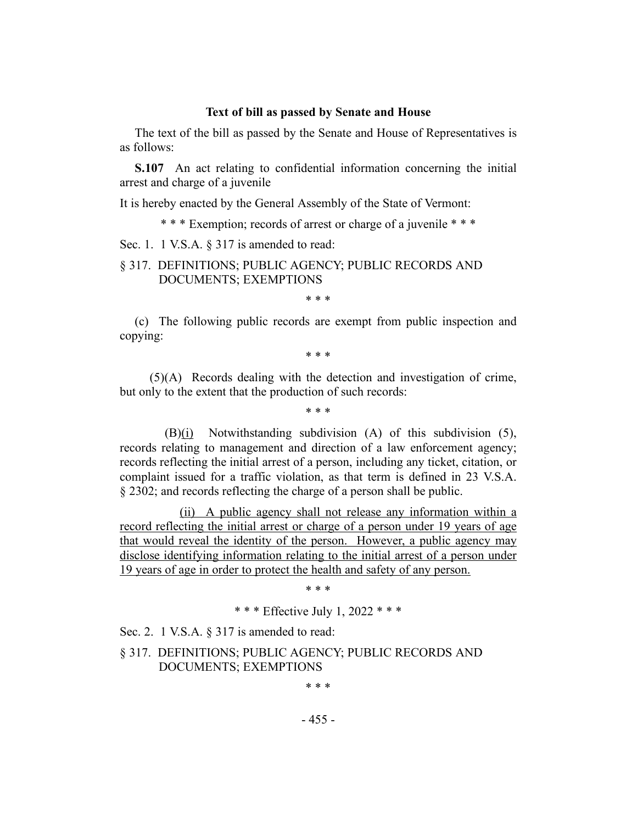#### **Text of bill as passed by Senate and House**

The text of the bill as passed by the Senate and House of Representatives is as follows:

**S.107** An act relating to confidential information concerning the initial arrest and charge of a juvenile

It is hereby enacted by the General Assembly of the State of Vermont:

\* \* \* Exemption; records of arrest or charge of a juvenile \* \* \*

Sec. 1. 1 V.S.A. § 317 is amended to read:

# § 317. DEFINITIONS; PUBLIC AGENCY; PUBLIC RECORDS AND DOCUMENTS; EXEMPTIONS

\* \* \*

(c) The following public records are exempt from public inspection and copying:

\* \* \*

(5)(A) Records dealing with the detection and investigation of crime, but only to the extent that the production of such records:

\* \* \*

(B)(i) Notwithstanding subdivision (A) of this subdivision (5), records relating to management and direction of a law enforcement agency; records reflecting the initial arrest of a person, including any ticket, citation, or complaint issued for a traffic violation, as that term is defined in 23 V.S.A. § 2302; and records reflecting the charge of a person shall be public.

(ii) A public agency shall not release any information within a record reflecting the initial arrest or charge of a person under 19 years of age that would reveal the identity of the person. However, a public agency may disclose identifying information relating to the initial arrest of a person under 19 years of age in order to protect the health and safety of any person.

\* \* \*

\* \* \* Effective July 1, 2022 \* \* \*

Sec. 2. 1 V.S.A. § 317 is amended to read:

§ 317. DEFINITIONS; PUBLIC AGENCY; PUBLIC RECORDS AND DOCUMENTS; EXEMPTIONS

\* \* \*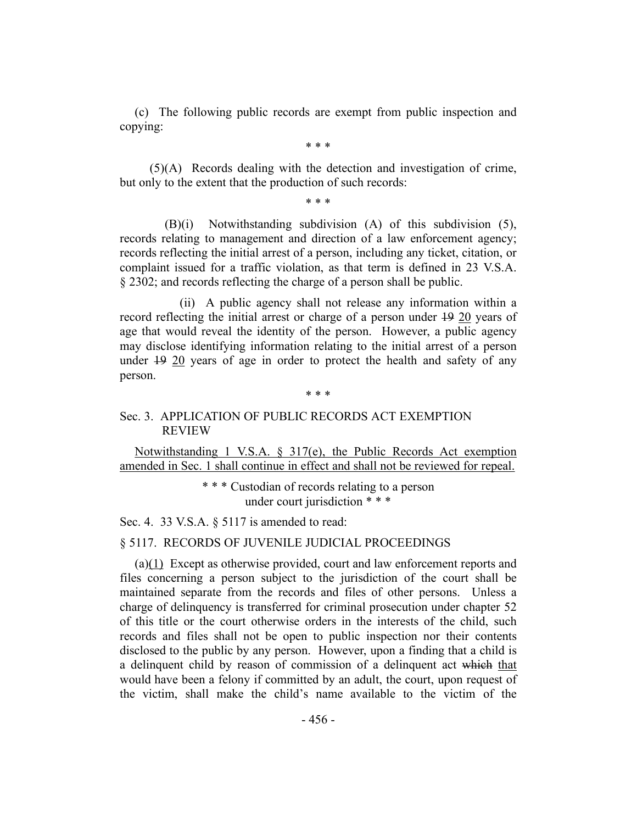(c) The following public records are exempt from public inspection and copying:

\* \* \*

(5)(A) Records dealing with the detection and investigation of crime, but only to the extent that the production of such records:

\* \* \*

(B)(i) Notwithstanding subdivision (A) of this subdivision (5), records relating to management and direction of a law enforcement agency; records reflecting the initial arrest of a person, including any ticket, citation, or complaint issued for a traffic violation, as that term is defined in 23 V.S.A. § 2302; and records reflecting the charge of a person shall be public.

(ii) A public agency shall not release any information within a record reflecting the initial arrest or charge of a person under 19 20 years of age that would reveal the identity of the person. However, a public agency may disclose identifying information relating to the initial arrest of a person under 19 20 years of age in order to protect the health and safety of any person.

#### \* \* \*

# Sec. 3. APPLICATION OF PUBLIC RECORDS ACT EXEMPTION REVIEW

Notwithstanding 1 V.S.A. § 317(e), the Public Records Act exemption amended in Sec. 1 shall continue in effect and shall not be reviewed for repeal.

> \* \* \* Custodian of records relating to a person under court jurisdiction \* \* \*

Sec. 4. 33 V.S.A. § 5117 is amended to read:

# § 5117. RECORDS OF JUVENILE JUDICIAL PROCEEDINGS

(a)(1) Except as otherwise provided, court and law enforcement reports and files concerning a person subject to the jurisdiction of the court shall be maintained separate from the records and files of other persons. Unless a charge of delinquency is transferred for criminal prosecution under chapter 52 of this title or the court otherwise orders in the interests of the child, such records and files shall not be open to public inspection nor their contents disclosed to the public by any person. However, upon a finding that a child is a delinquent child by reason of commission of a delinquent act which that would have been a felony if committed by an adult, the court, upon request of the victim, shall make the child's name available to the victim of the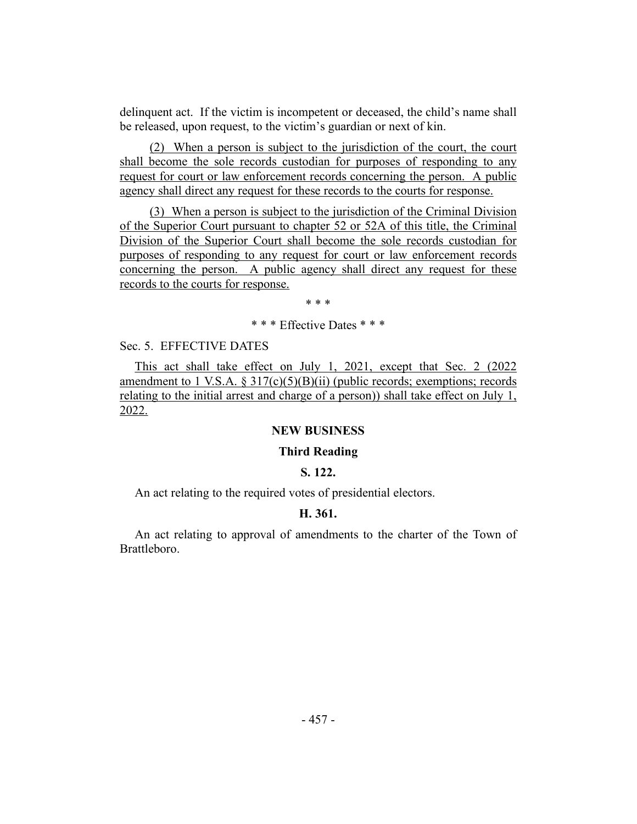delinquent act. If the victim is incompetent or deceased, the child's name shall be released, upon request, to the victim's guardian or next of kin.

(2) When a person is subject to the jurisdiction of the court, the court shall become the sole records custodian for purposes of responding to any request for court or law enforcement records concerning the person. A public agency shall direct any request for these records to the courts for response.

(3) When a person is subject to the jurisdiction of the Criminal Division of the Superior Court pursuant to chapter 52 or 52A of this title, the Criminal Division of the Superior Court shall become the sole records custodian for purposes of responding to any request for court or law enforcement records concerning the person. A public agency shall direct any request for these records to the courts for response.

\* \* \*

\* \* \* Effective Dates \* \* \*

#### Sec. 5. EFFECTIVE DATES

This act shall take effect on July 1, 2021, except that Sec. 2 (2022 amendment to 1 V.S.A.  $\S 317(c)(5)(B)(ii)$  (public records; exemptions; records relating to the initial arrest and charge of a person)) shall take effect on July 1, 2022.

## **NEW BUSINESS**

#### **Third Reading**

## **S. 122.**

<span id="page-6-1"></span><span id="page-6-0"></span>An act relating to the required votes of presidential electors.

# **H. 361.**

An act relating to approval of amendments to the charter of the Town of Brattleboro.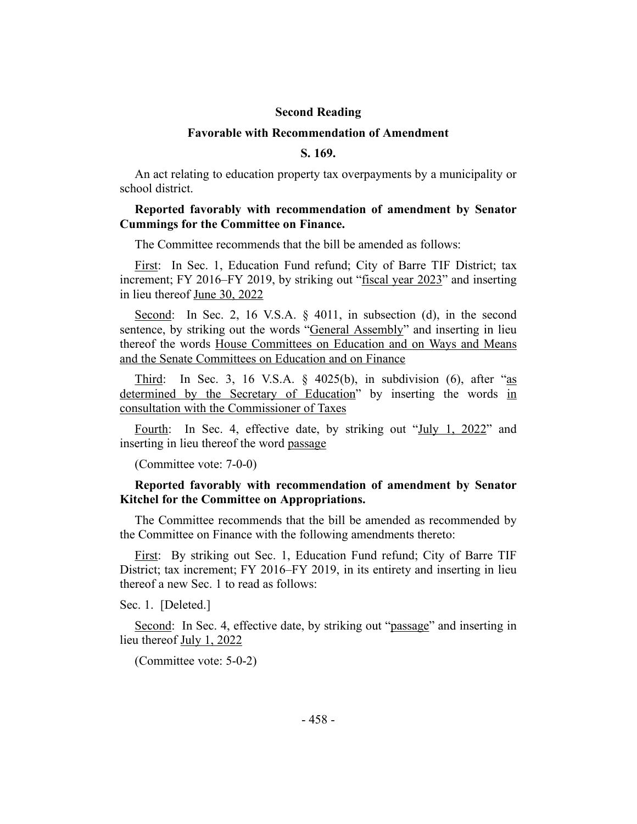#### **Second Reading**

#### **Favorable with Recommendation of Amendment**

# **S. 169.**

<span id="page-7-0"></span>An act relating to education property tax overpayments by a municipality or school district.

### **Reported favorably with recommendation of amendment by Senator Cummings for the Committee on Finance.**

The Committee recommends that the bill be amended as follows:

First: In Sec. 1, Education Fund refund; City of Barre TIF District; tax increment; FY 2016–FY 2019, by striking out "fiscal year 2023" and inserting in lieu thereof June 30, 2022

Second: In Sec. 2, 16 V.S.A. § 4011, in subsection (d), in the second sentence, by striking out the words "General Assembly" and inserting in lieu thereof the words House Committees on Education and on Ways and Means and the Senate Committees on Education and on Finance

Third: In Sec. 3, 16 V.S.A.  $\S$  4025(b), in subdivision (6), after "as determined by the Secretary of Education" by inserting the words in consultation with the Commissioner of Taxes

Fourth: In Sec. 4, effective date, by striking out "July 1, 2022" and inserting in lieu thereof the word passage

(Committee vote: 7-0-0)

# <span id="page-7-1"></span>**Reported favorably with recommendation of amendment by Senator Kitchel for the Committee on Appropriations.**

The Committee recommends that the bill be amended as recommended by the Committee on Finance with the following amendments thereto:

First: By striking out Sec. 1, Education Fund refund; City of Barre TIF District; tax increment; FY 2016–FY 2019, in its entirety and inserting in lieu thereof a new Sec. 1 to read as follows:

Sec. 1. [Deleted.]

Second: In Sec. 4, effective date, by striking out "passage" and inserting in lieu thereof July 1, 2022

(Committee vote: 5-0-2)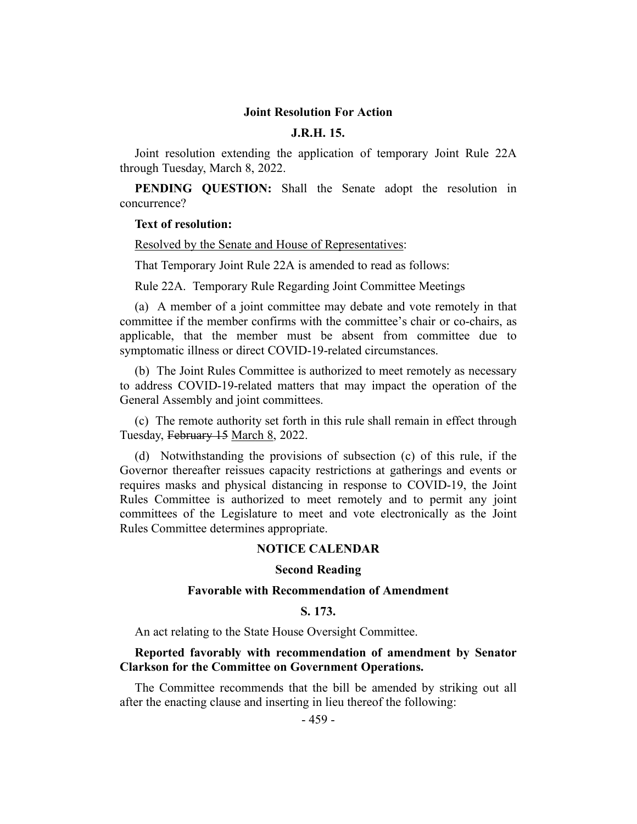#### **Joint Resolution For Action**

## **J.R.H. 15.**

<span id="page-8-0"></span>Joint resolution extending the application of temporary Joint Rule 22A through Tuesday, March 8, 2022.

**PENDING QUESTION:** Shall the Senate adopt the resolution in concurrence?

#### **Text of resolution:**

Resolved by the Senate and House of Representatives:

That Temporary Joint Rule 22A is amended to read as follows:

Rule 22A. Temporary Rule Regarding Joint Committee Meetings

(a) A member of a joint committee may debate and vote remotely in that committee if the member confirms with the committee's chair or co-chairs, as applicable, that the member must be absent from committee due to symptomatic illness or direct COVID-19-related circumstances.

(b) The Joint Rules Committee is authorized to meet remotely as necessary to address COVID-19-related matters that may impact the operation of the General Assembly and joint committees.

(c) The remote authority set forth in this rule shall remain in effect through Tuesday, February 15 March 8, 2022.

(d) Notwithstanding the provisions of subsection (c) of this rule, if the Governor thereafter reissues capacity restrictions at gatherings and events or requires masks and physical distancing in response to COVID-19, the Joint Rules Committee is authorized to meet remotely and to permit any joint committees of the Legislature to meet and vote electronically as the Joint Rules Committee determines appropriate.

#### **NOTICE CALENDAR**

#### **Second Reading**

#### **Favorable with Recommendation of Amendment**

## **S. 173.**

An act relating to the State House Oversight Committee.

#### **Reported favorably with recommendation of amendment by Senator Clarkson for the Committee on Government Operations.**

The Committee recommends that the bill be amended by striking out all after the enacting clause and inserting in lieu thereof the following: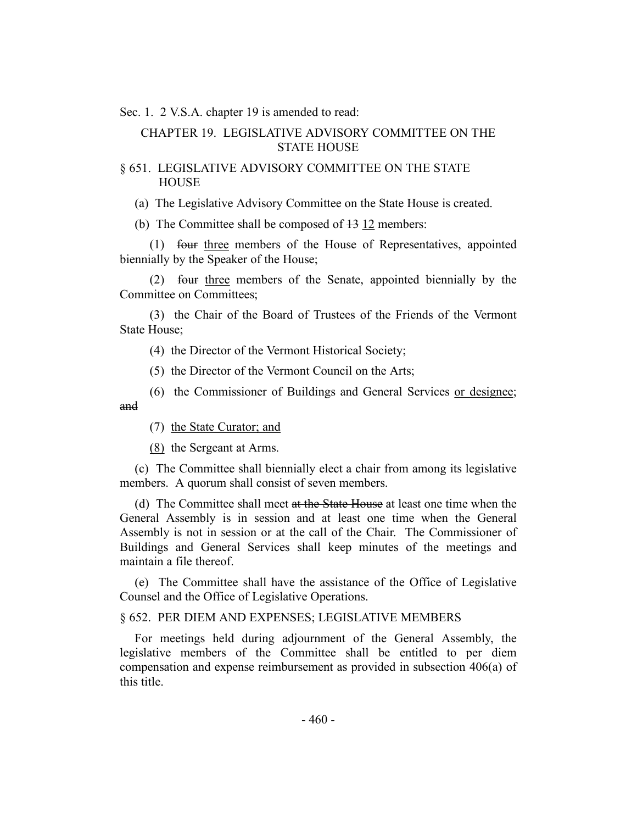Sec. 1. 2 V.S.A. chapter 19 is amended to read:

# CHAPTER 19. LEGISLATIVE ADVISORY COMMITTEE ON THE STATE HOUSE

# § 651. LEGISLATIVE ADVISORY COMMITTEE ON THE STATE **HOUSE**

(a) The Legislative Advisory Committee on the State House is created.

(b) The Committee shall be composed of 13 12 members:

(1) four three members of the House of Representatives, appointed biennially by the Speaker of the House;

(2) four three members of the Senate, appointed biennially by the Committee on Committees;

(3) the Chair of the Board of Trustees of the Friends of the Vermont State House;

(4) the Director of the Vermont Historical Society;

(5) the Director of the Vermont Council on the Arts;

(6) the Commissioner of Buildings and General Services or designee; and

(7) the State Curator; and

(8) the Sergeant at Arms.

(c) The Committee shall biennially elect a chair from among its legislative members. A quorum shall consist of seven members.

(d) The Committee shall meet at the State House at least one time when the General Assembly is in session and at least one time when the General Assembly is not in session or at the call of the Chair. The Commissioner of Buildings and General Services shall keep minutes of the meetings and maintain a file thereof.

(e) The Committee shall have the assistance of the Office of Legislative Counsel and the Office of Legislative Operations.

# § 652. PER DIEM AND EXPENSES; LEGISLATIVE MEMBERS

For meetings held during adjournment of the General Assembly, the legislative members of the Committee shall be entitled to per diem compensation and expense reimbursement as provided in subsection 406(a) of this title.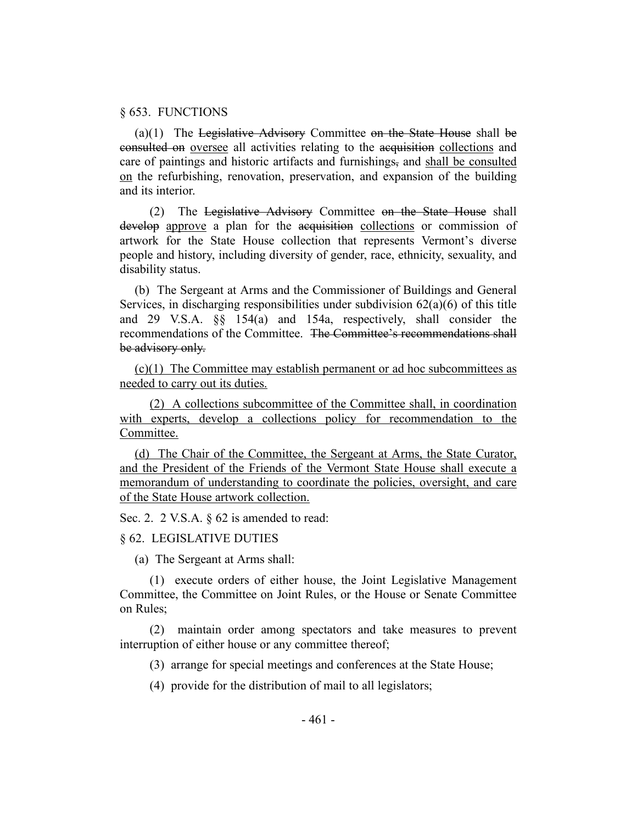#### § 653. FUNCTIONS

(a)(1) The Legislative Advisory Committee on the State House shall be consulted on oversee all activities relating to the acquisition collections and care of paintings and historic artifacts and furnishings, and shall be consulted on the refurbishing, renovation, preservation, and expansion of the building and its interior.

(2) The Legislative Advisory Committee on the State House shall develop approve a plan for the acquisition collections or commission of artwork for the State House collection that represents Vermont's diverse people and history, including diversity of gender, race, ethnicity, sexuality, and disability status.

(b) The Sergeant at Arms and the Commissioner of Buildings and General Services, in discharging responsibilities under subdivision  $62(a)(6)$  of this title and 29 V.S.A. §§ 154(a) and 154a, respectively, shall consider the recommendations of the Committee. The Committee's recommendations shall be advisory only.

(c)(1) The Committee may establish permanent or ad hoc subcommittees as needed to carry out its duties.

(2) A collections subcommittee of the Committee shall, in coordination with experts, develop a collections policy for recommendation to the Committee.

(d) The Chair of the Committee, the Sergeant at Arms, the State Curator, and the President of the Friends of the Vermont State House shall execute a memorandum of understanding to coordinate the policies, oversight, and care of the State House artwork collection.

Sec. 2. 2 V.S.A. § 62 is amended to read:

#### § 62. LEGISLATIVE DUTIES

(a) The Sergeant at Arms shall:

(1) execute orders of either house, the Joint Legislative Management Committee, the Committee on Joint Rules, or the House or Senate Committee on Rules;

(2) maintain order among spectators and take measures to prevent interruption of either house or any committee thereof;

(3) arrange for special meetings and conferences at the State House;

(4) provide for the distribution of mail to all legislators;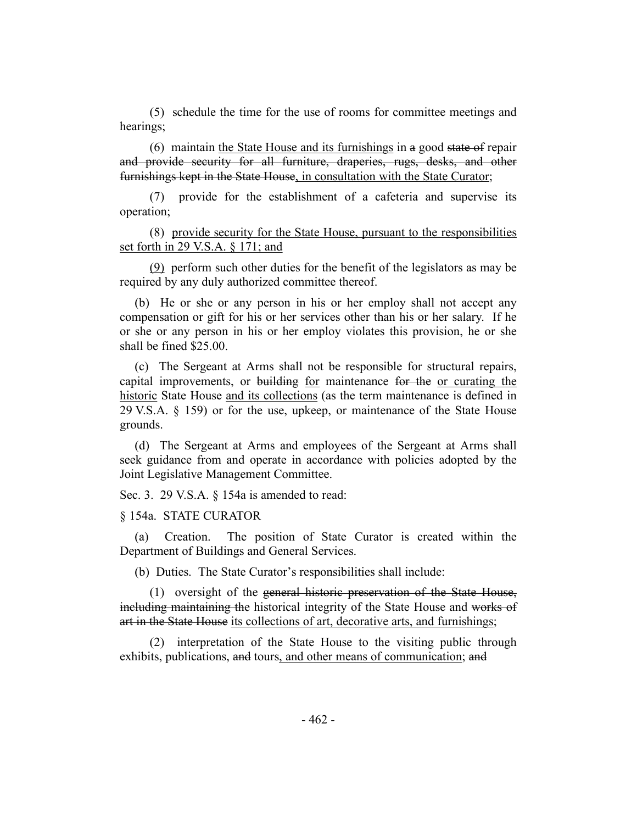(5) schedule the time for the use of rooms for committee meetings and hearings;

(6) maintain the State House and its furnishings in a good state of repair and provide security for all furniture, draperies, rugs, desks, and other furnishings kept in the State House, in consultation with the State Curator;

(7) provide for the establishment of a cafeteria and supervise its operation;

(8) provide security for the State House, pursuant to the responsibilities set forth in 29 V.S.A. § 171; and

(9) perform such other duties for the benefit of the legislators as may be required by any duly authorized committee thereof.

(b) He or she or any person in his or her employ shall not accept any compensation or gift for his or her services other than his or her salary. If he or she or any person in his or her employ violates this provision, he or she shall be fined \$25.00.

(c) The Sergeant at Arms shall not be responsible for structural repairs, capital improvements, or building for maintenance for the or curating the historic State House and its collections (as the term maintenance is defined in 29 V.S.A. § 159) or for the use, upkeep, or maintenance of the State House grounds.

(d) The Sergeant at Arms and employees of the Sergeant at Arms shall seek guidance from and operate in accordance with policies adopted by the Joint Legislative Management Committee.

Sec. 3. 29 V.S.A. § 154a is amended to read:

§ 154a. STATE CURATOR

(a) Creation. The position of State Curator is created within the Department of Buildings and General Services.

(b) Duties. The State Curator's responsibilities shall include:

(1) oversight of the general historic preservation of the State House, including maintaining the historical integrity of the State House and works of art in the State House its collections of art, decorative arts, and furnishings;

(2) interpretation of the State House to the visiting public through exhibits, publications, and tours, and other means of communication; and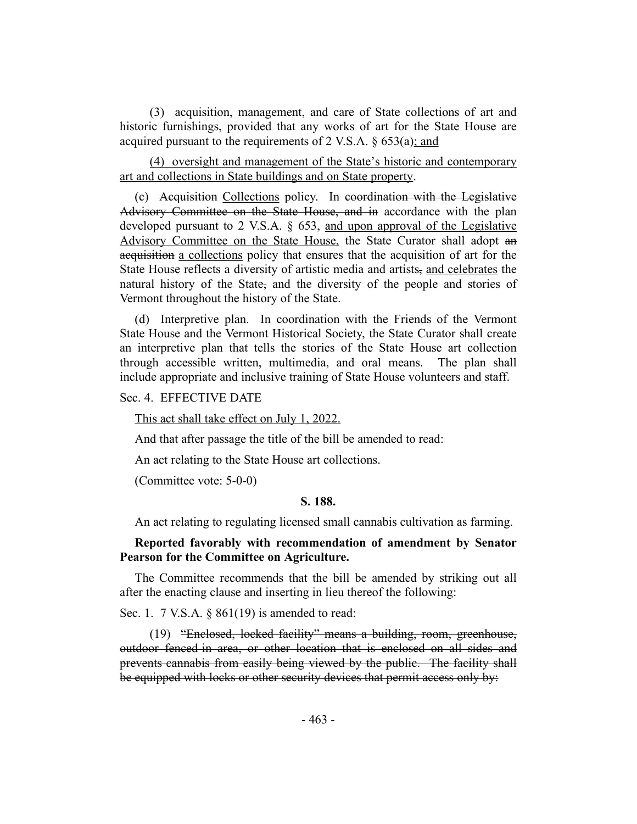(3) acquisition, management, and care of State collections of art and historic furnishings, provided that any works of art for the State House are acquired pursuant to the requirements of 2 V.S.A.  $\S$  653(a); and

(4) oversight and management of the State's historic and contemporary art and collections in State buildings and on State property.

(c) Acquisition Collections policy. In coordination with the Legislative Advisory Committee on the State House, and in accordance with the plan developed pursuant to 2 V.S.A. § 653, and upon approval of the Legislative Advisory Committee on the State House, the State Curator shall adopt an acquisition a collections policy that ensures that the acquisition of art for the State House reflects a diversity of artistic media and artists, and celebrates the natural history of the State, and the diversity of the people and stories of Vermont throughout the history of the State.

(d) Interpretive plan. In coordination with the Friends of the Vermont State House and the Vermont Historical Society, the State Curator shall create an interpretive plan that tells the stories of the State House art collection through accessible written, multimedia, and oral means. The plan shall include appropriate and inclusive training of State House volunteers and staff.

Sec. 4. EFFECTIVE DATE

This act shall take effect on July 1, 2022.

And that after passage the title of the bill be amended to read:

An act relating to the State House art collections.

<span id="page-12-0"></span>(Committee vote: 5-0-0)

#### **S. 188.**

An act relating to regulating licensed small cannabis cultivation as farming.

# **Reported favorably with recommendation of amendment by Senator Pearson for the Committee on Agriculture.**

The Committee recommends that the bill be amended by striking out all after the enacting clause and inserting in lieu thereof the following:

Sec. 1. 7 V.S.A. § 861(19) is amended to read:

(19) "Enclosed, locked facility" means a building, room, greenhouse, outdoor fenced-in area, or other location that is enclosed on all sides and prevents cannabis from easily being viewed by the public. The facility shall be equipped with locks or other security devices that permit access only by: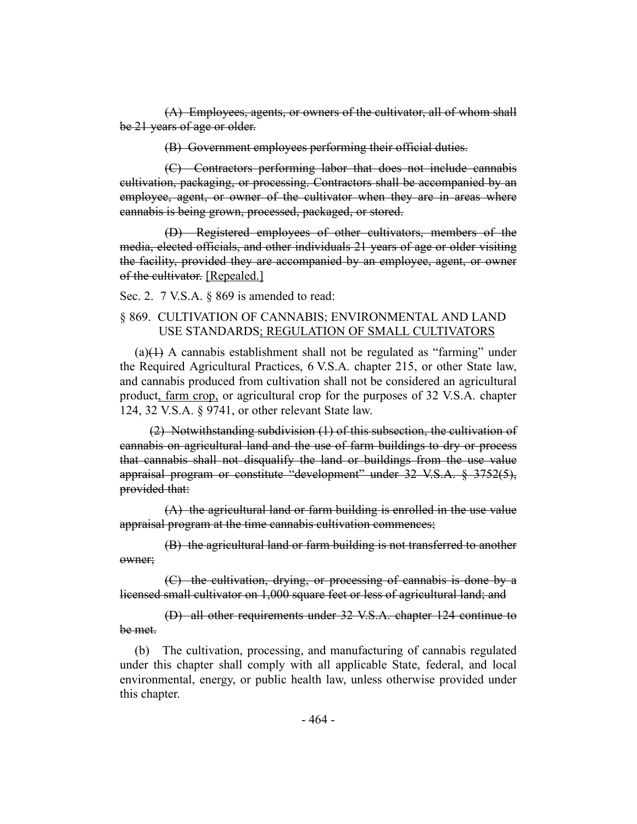(A) Employees, agents, or owners of the cultivator, all of whom shall be 21 years of age or older.

(B) Government employees performing their official duties.

(C) Contractors performing labor that does not include cannabis cultivation, packaging, or processing. Contractors shall be accompanied by an employee, agent, or owner of the cultivator when they are in areas where cannabis is being grown, processed, packaged, or stored.

(D) Registered employees of other cultivators, members of the media, elected officials, and other individuals 21 years of age or older visiting the facility, provided they are accompanied by an employee, agent, or owner of the cultivator. [Repealed.]

Sec. 2. 7 V.S.A. § 869 is amended to read:

# § 869. CULTIVATION OF CANNABIS; ENVIRONMENTAL AND LAND USE STANDARDS; REGULATION OF SMALL CULTIVATORS

 $(a)(1)$  A cannabis establishment shall not be regulated as "farming" under the Required Agricultural Practices, 6 V.S.A. chapter 215, or other State law, and cannabis produced from cultivation shall not be considered an agricultural product, farm crop, or agricultural crop for the purposes of 32 V.S.A. chapter 124, 32 V.S.A. § 9741, or other relevant State law.

(2) Notwithstanding subdivision (1) of this subsection, the cultivation of cannabis on agricultural land and the use of farm buildings to dry or process that cannabis shall not disqualify the land or buildings from the use value appraisal program or constitute "development" under 32 V.S.A. § 3752(5), provided that:

(A) the agricultural land or farm building is enrolled in the use value appraisal program at the time cannabis cultivation commences;

(B) the agricultural land or farm building is not transferred to another owner;

(C) the cultivation, drying, or processing of cannabis is done by a licensed small cultivator on 1,000 square feet or less of agricultural land; and

(D) all other requirements under 32 V.S.A. chapter 124 continue to be met.

(b) The cultivation, processing, and manufacturing of cannabis regulated under this chapter shall comply with all applicable State, federal, and local environmental, energy, or public health law, unless otherwise provided under this chapter.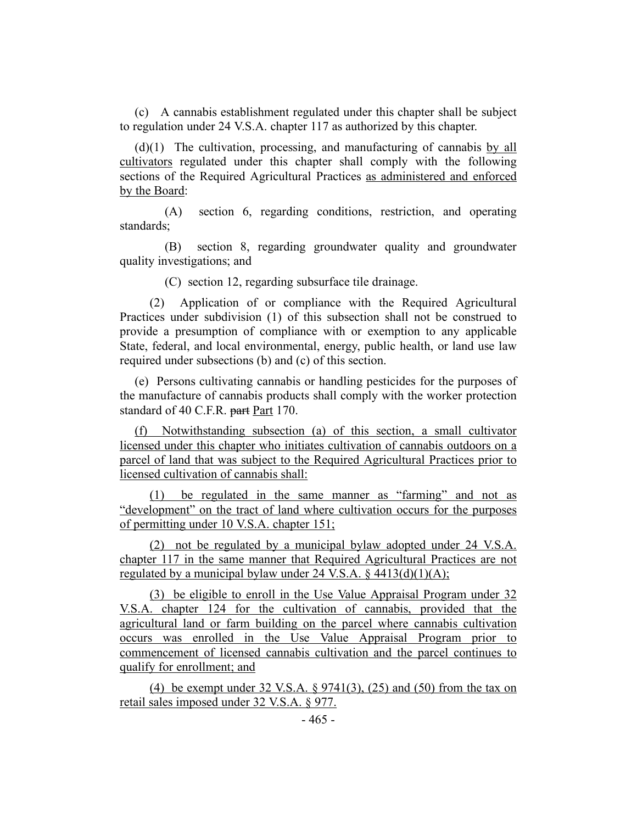(c) A cannabis establishment regulated under this chapter shall be subject to regulation under 24 V.S.A. chapter 117 as authorized by this chapter.

(d)(1) The cultivation, processing, and manufacturing of cannabis by all cultivators regulated under this chapter shall comply with the following sections of the Required Agricultural Practices as administered and enforced by the Board:

(A) section 6, regarding conditions, restriction, and operating standards;

(B) section 8, regarding groundwater quality and groundwater quality investigations; and

(C) section 12, regarding subsurface tile drainage.

(2) Application of or compliance with the Required Agricultural Practices under subdivision (1) of this subsection shall not be construed to provide a presumption of compliance with or exemption to any applicable State, federal, and local environmental, energy, public health, or land use law required under subsections (b) and (c) of this section.

(e) Persons cultivating cannabis or handling pesticides for the purposes of the manufacture of cannabis products shall comply with the worker protection standard of 40 C.F.R. part Part 170.

(f) Notwithstanding subsection (a) of this section, a small cultivator licensed under this chapter who initiates cultivation of cannabis outdoors on a parcel of land that was subject to the Required Agricultural Practices prior to licensed cultivation of cannabis shall:

(1) be regulated in the same manner as "farming" and not as "development" on the tract of land where cultivation occurs for the purposes of permitting under 10 V.S.A. chapter 151;

(2) not be regulated by a municipal bylaw adopted under 24 V.S.A. chapter 117 in the same manner that Required Agricultural Practices are not regulated by a municipal bylaw under 24 V.S.A.  $\frac{24 \text{ V.S.A.}}{4413(d)(1)(\text{A})}$ ;

(3) be eligible to enroll in the Use Value Appraisal Program under 32 V.S.A. chapter 124 for the cultivation of cannabis, provided that the agricultural land or farm building on the parcel where cannabis cultivation occurs was enrolled in the Use Value Appraisal Program prior to commencement of licensed cannabis cultivation and the parcel continues to qualify for enrollment; and

(4) be exempt under 32 V.S.A. § 9741(3), (25) and (50) from the tax on retail sales imposed under 32 V.S.A. § 977.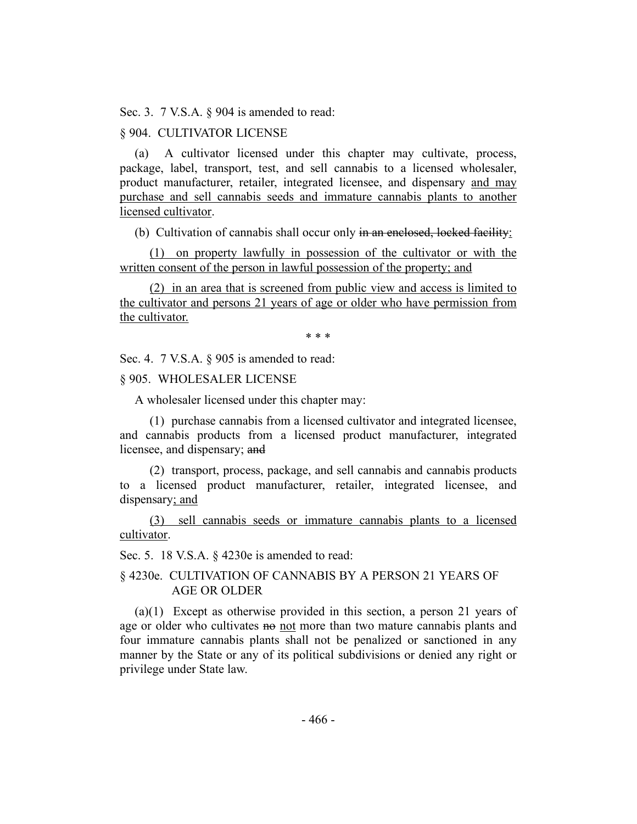Sec. 3. 7 V.S.A. § 904 is amended to read:

# § 904. CULTIVATOR LICENSE

(a) A cultivator licensed under this chapter may cultivate, process, package, label, transport, test, and sell cannabis to a licensed wholesaler, product manufacturer, retailer, integrated licensee, and dispensary and may purchase and sell cannabis seeds and immature cannabis plants to another licensed cultivator.

(b) Cultivation of cannabis shall occur only in an enclosed, locked facility:

(1) on property lawfully in possession of the cultivator or with the written consent of the person in lawful possession of the property; and

(2) in an area that is screened from public view and access is limited to the cultivator and persons 21 years of age or older who have permission from the cultivator.

\* \* \*

Sec. 4. 7 V.S.A. § 905 is amended to read:

## § 905. WHOLESALER LICENSE

A wholesaler licensed under this chapter may:

(1) purchase cannabis from a licensed cultivator and integrated licensee, and cannabis products from a licensed product manufacturer, integrated licensee, and dispensary; and

(2) transport, process, package, and sell cannabis and cannabis products to a licensed product manufacturer, retailer, integrated licensee, and dispensary; and

(3) sell cannabis seeds or immature cannabis plants to a licensed cultivator.

Sec. 5. 18 V.S.A. § 4230e is amended to read:

# § 4230e. CULTIVATION OF CANNABIS BY A PERSON 21 YEARS OF AGE OR OLDER

(a)(1) Except as otherwise provided in this section, a person 21 years of age or older who cultivates no not more than two mature cannabis plants and four immature cannabis plants shall not be penalized or sanctioned in any manner by the State or any of its political subdivisions or denied any right or privilege under State law.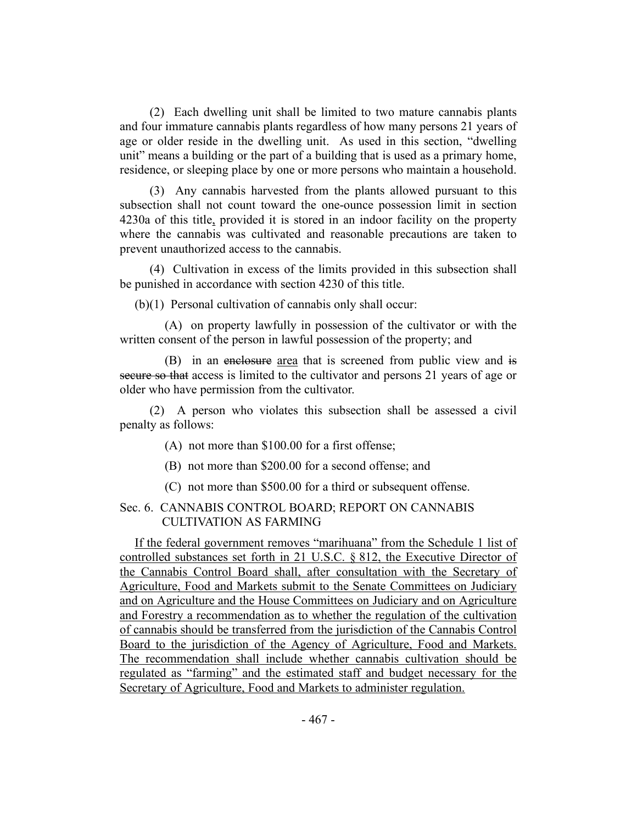(2) Each dwelling unit shall be limited to two mature cannabis plants and four immature cannabis plants regardless of how many persons 21 years of age or older reside in the dwelling unit. As used in this section, "dwelling unit" means a building or the part of a building that is used as a primary home, residence, or sleeping place by one or more persons who maintain a household.

(3) Any cannabis harvested from the plants allowed pursuant to this subsection shall not count toward the one-ounce possession limit in section 4230a of this title, provided it is stored in an indoor facility on the property where the cannabis was cultivated and reasonable precautions are taken to prevent unauthorized access to the cannabis.

(4) Cultivation in excess of the limits provided in this subsection shall be punished in accordance with section 4230 of this title.

(b)(1) Personal cultivation of cannabis only shall occur:

(A) on property lawfully in possession of the cultivator or with the written consent of the person in lawful possession of the property; and

(B) in an enclosure area that is screened from public view and is secure so that access is limited to the cultivator and persons 21 years of age or older who have permission from the cultivator.

(2) A person who violates this subsection shall be assessed a civil penalty as follows:

- (A) not more than \$100.00 for a first offense;
- (B) not more than \$200.00 for a second offense; and
- (C) not more than \$500.00 for a third or subsequent offense.

# Sec. 6. CANNABIS CONTROL BOARD; REPORT ON CANNABIS CULTIVATION AS FARMING

If the federal government removes "marihuana" from the Schedule 1 list of controlled substances set forth in 21 U.S.C. § 812, the Executive Director of the Cannabis Control Board shall, after consultation with the Secretary of Agriculture, Food and Markets submit to the Senate Committees on Judiciary and on Agriculture and the House Committees on Judiciary and on Agriculture and Forestry a recommendation as to whether the regulation of the cultivation of cannabis should be transferred from the jurisdiction of the Cannabis Control Board to the jurisdiction of the Agency of Agriculture, Food and Markets. The recommendation shall include whether cannabis cultivation should be regulated as "farming" and the estimated staff and budget necessary for the Secretary of Agriculture, Food and Markets to administer regulation.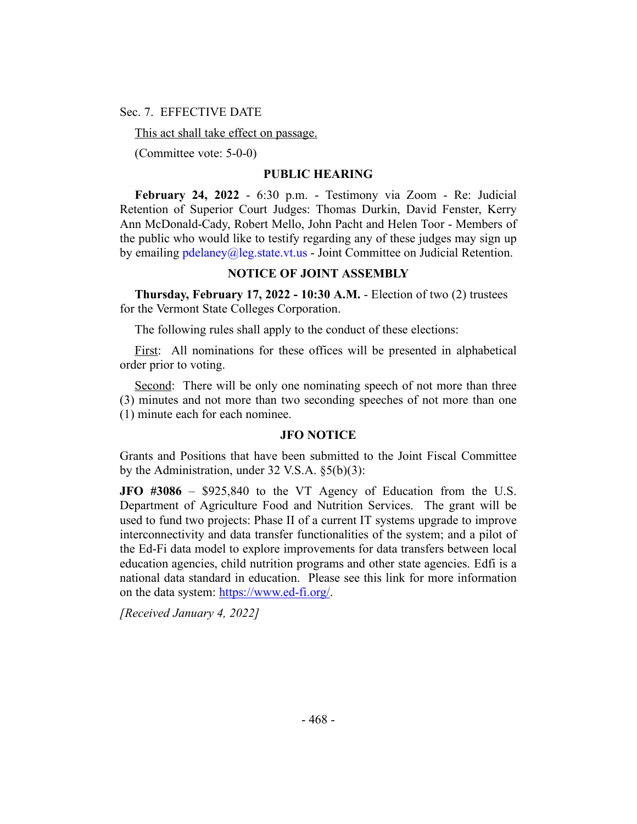Sec. 7. EFFECTIVE DATE

This act shall take effect on passage.

(Committee vote: 5-0-0)

# **PUBLIC HEARING**

**February 24, 2022** - 6:30 p.m. - Testimony via Zoom - Re: Judicial Retention of Superior Court Judges: Thomas Durkin, David Fenster, Kerry Ann McDonald-Cady, Robert Mello, John Pacht and Helen Toor - Members of the public who would like to testify regarding any of these judges may sign up by emailing  $p$ delaney@leg.state.vt.us - Joint Committee on Judicial Retention.

## **NOTICE OF JOINT ASSEMBLY**

**Thursday, February 17, 2022 - 10:30 A.M.** - Election of two (2) trustees for the Vermont State Colleges Corporation.

The following rules shall apply to the conduct of these elections:

First: All nominations for these offices will be presented in alphabetical order prior to voting.

Second: There will be only one nominating speech of not more than three (3) minutes and not more than two seconding speeches of not more than one (1) minute each for each nominee.

# **JFO NOTICE**

Grants and Positions that have been submitted to the Joint Fiscal Committee by the Administration, under 32 V.S.A. §5(b)(3):

**JFO #3086** – \$925,840 to the VT Agency of Education from the U.S. Department of Agriculture Food and Nutrition Services. The grant will be used to fund two projects: Phase II of a current IT systems upgrade to improve interconnectivity and data transfer functionalities of the system; and a pilot of the Ed-Fi data model to explore improvements for data transfers between local education agencies, child nutrition programs and other state agencies. Edfi is a national data standard in education. Please see this link for more information on the data system: https://www.ed-fi.org/.

*[Received January 4, 2022]*